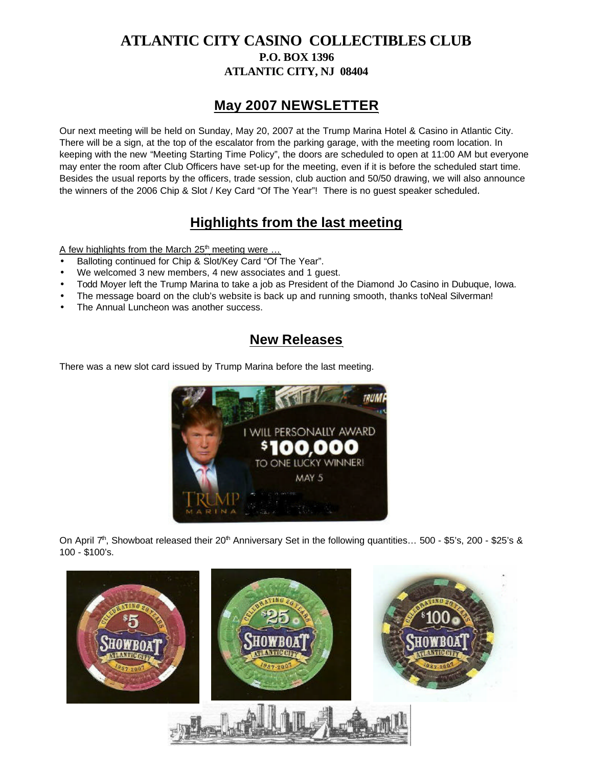### **ATLANTIC CITY CASINO COLLECTIBLES CLUB P.O. BOX 1396 ATLANTIC CITY, NJ 08404**

## **May 2007 NEWSLETTER**

Our next meeting will be held on Sunday, May 20, 2007 at the Trump Marina Hotel & Casino in Atlantic City. There will be a sign, at the top of the escalator from the parking garage, with the meeting room location. In keeping with the new "Meeting Starting Time Policy", the doors are scheduled to open at 11:00 AM but everyone may enter the room after Club Officers have set-up for the meeting, even if it is before the scheduled start time. Besides the usual reports by the officers, trade session, club auction and 50/50 drawing, we will also announce the winners of the 2006 Chip & Slot / Key Card "Of The Year"! There is no guest speaker scheduled.

# **Highlights from the last meeting**

A few highlights from the March  $25<sup>th</sup>$  meeting were ...

- Balloting continued for Chip & Slot/Key Card "Of The Year".
- We welcomed 3 new members, 4 new associates and 1 guest.
- Todd Moyer left the Trump Marina to take a job as President of the Diamond Jo Casino in Dubuque, Iowa.
- The message board on the club's website is back up and running smooth, thanks toNeal Silverman!
- The Annual Luncheon was another success.

## **New Releases**

There was a new slot card issued by Trump Marina before the last meeting.



On April  $7<sup>th</sup>$ , Showboat released their 20<sup>th</sup> Anniversary Set in the following quantities... 500 - \$5's, 200 - \$25's & 100 - \$100's.